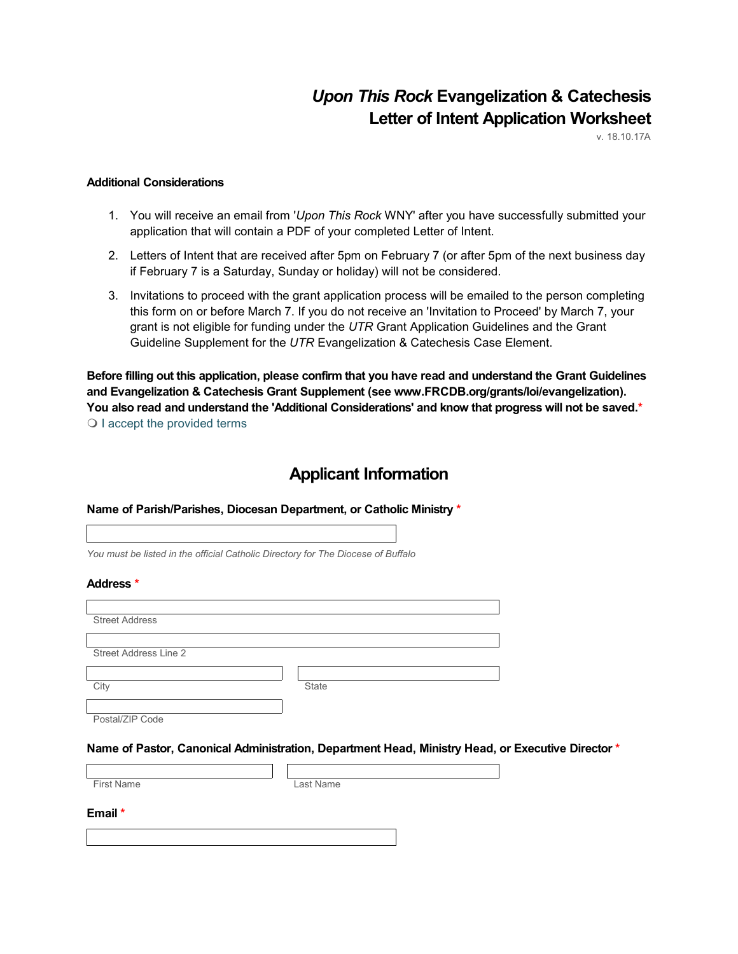# *Upon This Rock* **Evangelization & Catechesis Letter of Intent Application Worksheet**

v. 18.10.17A

### **Additional Considerations**

- 1. You will receive an email from '*Upon This Rock* WNY' after you have successfully submitted your application that will contain a PDF of your completed Letter of Intent.
- 2. Letters of Intent that are received after 5pm on February 7 (or after 5pm of the next business day if February 7 is a Saturday, Sunday or holiday) will not be considered.
- 3. Invitations to proceed with the grant application process will be emailed to the person completing this form on or before March 7. If you do not receive an 'Invitation to Proceed' by March 7, your grant is not eligible for funding under the *UTR* Grant Application Guidelines and the Grant Guideline Supplement for the *UTR* Evangelization & Catechesis Case Element.

**Before filling out this application, please confirm that you have read and understand the Grant Guidelines and Evangelization & Catechesis Grant Supplement (see www.FRCDB.org/grants/loi/evangelization). You also read and understand the 'Additional Considerations' and know that progress will not be saved.\*** O I accept the provided terms

# **Applicant Information**

### **Name of Parish/Parishes, Diocesan Department, or Catholic Ministry \***

*You must be listed in the official Catholic Directory for The Diocese of Buffalo*

### **Address \***

| <b>Street Address</b> |              |
|-----------------------|--------------|
|                       |              |
| Street Address Line 2 |              |
|                       |              |
| City                  | <b>State</b> |
|                       |              |
| Postal/ZIP Code       |              |

#### **Name of Pastor, Canonical Administration, Department Head, Ministry Head, or Executive Director \***

First Name Last Name

#### **Email \***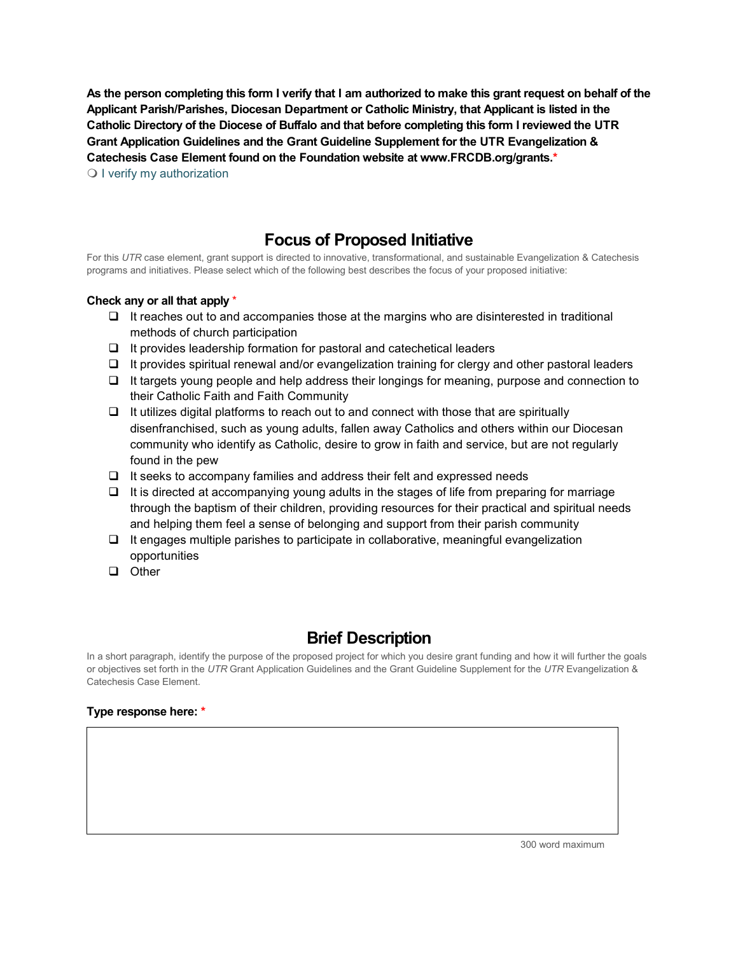**As the person completing this form I verify that I am authorized to make this grant request on behalf of the Applicant Parish/Parishes, Diocesan Department or Catholic Ministry, that Applicant is listed in the Catholic Directory of the Diocese of Buffalo and that before completing this form I reviewed the UTR Grant Application Guidelines and the Grant Guideline Supplement for the UTR Evangelization & Catechesis Case Element found on the Foundation website at www.FRCDB.org/grants.\***  $\bigcirc$  I verify my authorization

# **Focus of Proposed Initiative**

For this *UTR* case element, grant support is directed to innovative, transformational, and sustainable Evangelization & Catechesis programs and initiatives. Please select which of the following best describes the focus of your proposed initiative:

### **Check any or all that apply** \*

- $\Box$  It reaches out to and accompanies those at the margins who are disinterested in traditional methods of church participation
- $\Box$  It provides leadership formation for pastoral and catechetical leaders
- $\Box$  It provides spiritual renewal and/or evangelization training for clergy and other pastoral leaders
- $\Box$  It targets young people and help address their longings for meaning, purpose and connection to their Catholic Faith and Faith Community
- $\Box$  It utilizes digital platforms to reach out to and connect with those that are spiritually disenfranchised, such as young adults, fallen away Catholics and others within our Diocesan community who identify as Catholic, desire to grow in faith and service, but are not regularly found in the pew
- $\Box$  It seeks to accompany families and address their felt and expressed needs
- $\Box$  It is directed at accompanying young adults in the stages of life from preparing for marriage through the baptism of their children, providing resources for their practical and spiritual needs and helping them feel a sense of belonging and support from their parish community
- $\Box$  It engages multiple parishes to participate in collaborative, meaningful evangelization opportunities
- Other

# **Brief Description**

In a short paragraph, identify the purpose of the proposed project for which you desire grant funding and how it will further the goals or objectives set forth in the *UTR* Grant Application Guidelines and the Grant Guideline Supplement for the *UTR* Evangelization & Catechesis Case Element.

### **Type response here: \***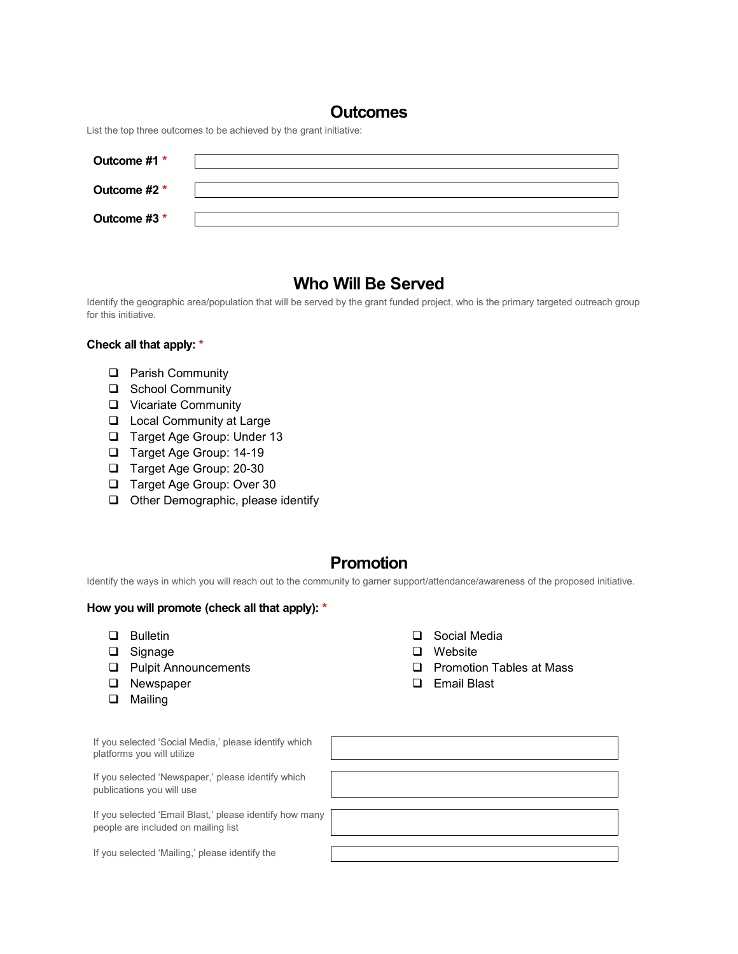### **Outcomes**

List the top three outcomes to be achieved by the grant initiative:

| Outcome #1 * |  |
|--------------|--|
| Outcome #2 * |  |
| Outcome #3 * |  |

# **Who Will Be Served**

Identify the geographic area/population that will be served by the grant funded project, who is the primary targeted outreach group for this initiative.

### **Check all that apply: \***

- **Q** Parish Community
- □ School Community
- **Q** Vicariate Community
- □ Local Community at Large
- □ Target Age Group: Under 13
- □ Target Age Group: 14-19
- □ Target Age Group: 20-30
- □ Target Age Group: Over 30
- **Q** Other Demographic, please identify

### **Promotion**

Identify the ways in which you will reach out to the community to garner support/attendance/awareness of the proposed initiative.

### **How you will promote (check all that apply): \***

- **Q** Bulletin
- □ Signage
- **Q** Pulpit Announcements
- **Q** Newspaper
- **Q** Mailing

 $E_{\text{total}}$  selected in  $S_{\text{total}}$ 

- □ Social Media
- □ Website
- **Q** Promotion Tables at Mass
- Email Blast

| If you selected Social Media, please identity which<br>platforms you will utilize |  |
|-----------------------------------------------------------------------------------|--|
| If you selected 'Newspaper,' please identify which<br>publications you will use   |  |

If you selected 'Email B people are included on

If you selected 'Mailing

| Media,' please identify which<br>e               |  |
|--------------------------------------------------|--|
|                                                  |  |
| aper,' please identify which<br>se               |  |
|                                                  |  |
| Blast,' please identify how many<br>mailing list |  |
|                                                  |  |
| y,' please identify the                          |  |
|                                                  |  |
|                                                  |  |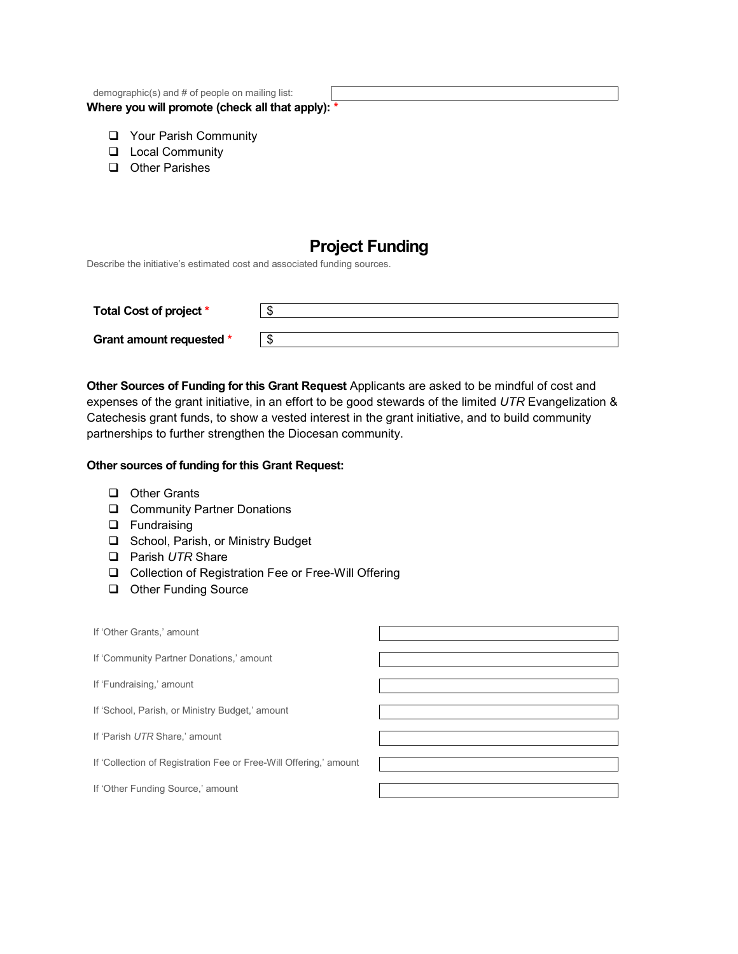| demographic(s) and # of people on mailing list:  |  |  |
|--------------------------------------------------|--|--|
| Where you will promote (check all that apply): * |  |  |

- **Q** Your Parish Community
- **L** Local Community
- **Q** Other Parishes

# **Project Funding**

Describe the initiative's estimated cost and associated funding sources.

| Total Cost of project *  | ъĐ |
|--------------------------|----|
| Grant amount requested * |    |

**Other Sources of Funding for this Grant Request** Applicants are asked to be mindful of cost and expenses of the grant initiative, in an effort to be good stewards of the limited *UTR* Evangelization & Catechesis grant funds, to show a vested interest in the grant initiative, and to build community partnerships to further strengthen the Diocesan community.

### **Other sources of funding for this Grant Request:**

- **D** Other Grants
- **□** Community Partner Donations
- **D** Fundraising
- □ School, Parish, or Ministry Budget
- Parish *UTR* Share
- □ Collection of Registration Fee or Free-Will Offering
- **Q** Other Funding Source

| If 'Other Grants,' amount                                         |  |
|-------------------------------------------------------------------|--|
| If 'Community Partner Donations,' amount                          |  |
| If 'Fundraising,' amount                                          |  |
| If 'School, Parish, or Ministry Budget,' amount                   |  |
| If 'Parish UTR Share,' amount                                     |  |
| If 'Collection of Registration Fee or Free-Will Offering,' amount |  |
| If 'Other Funding Source,' amount                                 |  |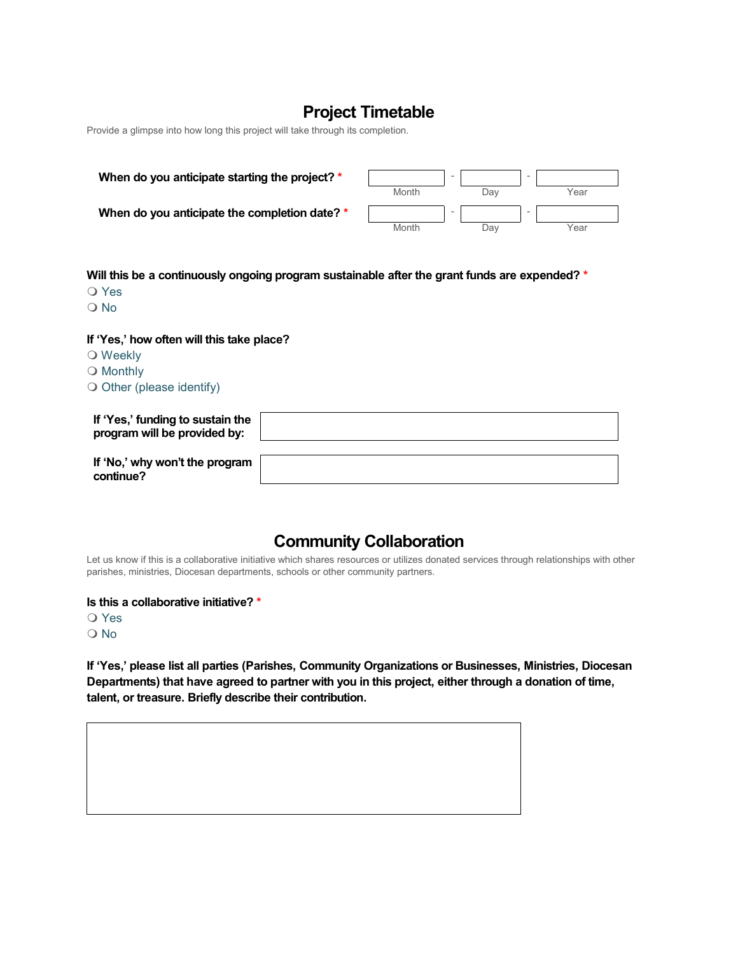# **Project Timetable**

Provide a glimpse into how long this project will take through its completion.

| When do you anticipate starting the project? * |       | $\overline{\phantom{a}}$ |     | $\overline{\phantom{0}}$ |      |
|------------------------------------------------|-------|--------------------------|-----|--------------------------|------|
|                                                | Month |                          | Dav |                          | Year |
| When do you anticipate the completion date? *  |       | $\overline{\phantom{a}}$ |     | $\overline{\phantom{0}}$ |      |
|                                                | Month |                          | Dav |                          | Year |

**Will this be a continuously ongoing program sustainable after the grant funds are expended? \***

- O Yes
- O No

**If 'Yes,' how often will this take place?**

- O Weekly
- O Monthly
- $\bigcirc$  Other (please identify)

| If 'Yes,' funding to sustain the<br>program will be provided by: |  |
|------------------------------------------------------------------|--|
| If 'No,' why won't the program<br>continue?                      |  |

# **Community Collaboration**

Let us know if this is a collaborative initiative which shares resources or utilizes donated services through relationships with other parishes, ministries, Diocesan departments, schools or other community partners.

**Is this a collaborative initiative? \***

O Yes

O No

**If 'Yes,' please list all parties (Parishes, Community Organizations or Businesses, Ministries, Diocesan Departments) that have agreed to partner with you in this project, either through a donation of time, talent, or treasure. Briefly describe their contribution.**